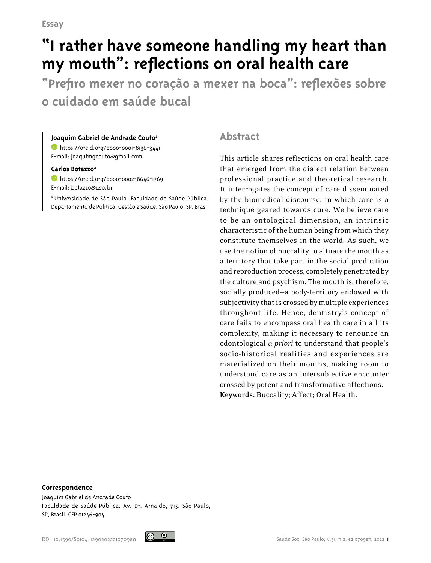# **"I rather have someone handling my heart than my mouth": reflections on oral health care**

**"Prefiro mexer no coração a mexer na boca": reflexões sobre o cuidado em saúde bucal**

#### **Joaquim Gabriel de Andrade Couto<sup>a</sup>**

**b**<https://orcid.org/0000-0001-8136-3441> E-mail: joaquimgcouto@gmail.com

#### **Carlos Botazzoa**

<https://orcid.org/0000-0002-8646-1769> E-mail: botazzo@usp.br

a Universidade de São Paulo. Faculdade de Saúde Pública. Departamento de Política, Gestão e Saúde. São Paulo, SP, Brasil

### **Abstract**

This article shares reflections on oral health care that emerged from the dialect relation between professional practice and theoretical research. It interrogates the concept of care disseminated by the biomedical discourse, in which care is a technique geared towards cure. We believe care to be an ontological dimension, an intrinsic characteristic of the human being from which they constitute themselves in the world. As such, we use the notion of buccality to situate the mouth as a territory that take part in the social production and reproduction process, completely penetrated by the culture and psychism. The mouth is, therefore, socially produced—a body-territory endowed with subjectivity that is crossed by multiple experiences throughout life. Hence, dentistry's concept of care fails to encompass oral health care in all its complexity, making it necessary to renounce an odontological *a priori* to understand that people's socio-historical realities and experiences are materialized on their mouths, making room to understand care as an intersubjective encounter crossed by potent and transformative affections. **Keywords:** Buccality; Affect; Oral Health.

#### **Correspondence**

Joaquim Gabriel de Andrade Couto Faculdade de Saúde Pública. Av. Dr. Arnaldo, 715. São Paulo, SP, Brasil. CEP 01246-904.

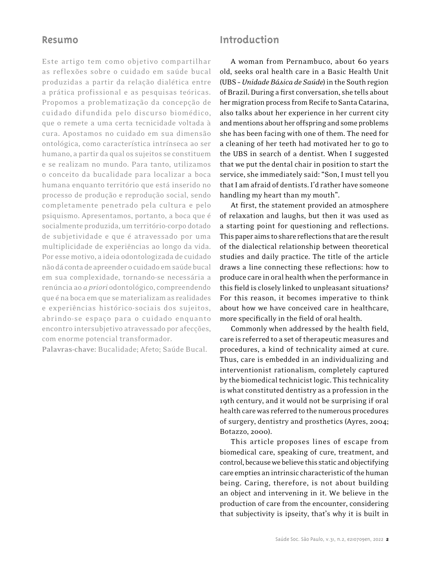#### **Resumo**

Este artigo tem como objetivo compartilhar as reflexões sobre o cuidado em saúde bucal produzidas a partir da relação dialética entre a prática profissional e as pesquisas teóricas. Propomos a problematização da concepção de cuidado difundida pelo discurso biomédico, que o remete a uma certa tecnicidade voltada à cura. Apostamos no cuidado em sua dimensão ontológica, como característica intrínseca ao ser humano, a partir da qual os sujeitos se constituem e se realizam no mundo. Para tanto, utilizamos o conceito da bucalidade para localizar a boca humana enquanto território que está inserido no processo de produção e reprodução social, sendo completamente penetrado pela cultura e pelo psiquismo. Apresentamos, portanto, a boca que é socialmente produzida, um território-corpo dotado de subjetividade e que é atravessado por uma multiplicidade de experiências ao longo da vida. Por esse motivo, a ideia odontologizada de cuidado não dá conta de apreender o cuidado em saúde bucal em sua complexidade, tornando-se necessária a renúncia ao *a priori* odontológico, compreendendo que é na boca em que se materializam as realidades e experiências histórico-sociais dos sujeitos, abrindo-se espaço para o cuidado enquanto encontro intersubjetivo atravessado por afecções, com enorme potencial transformador.

**Palavras-chave:** Bucalidade; Afeto; Saúde Bucal.

## **Introduction**

A woman from Pernambuco, about 60 years old, seeks oral health care in a Basic Health Unit (UBS – *Unidade Básica de Saúde*) in the South region of Brazil. During a first conversation, she tells about her migration process from Recife to Santa Catarina, also talks about her experience in her current city and mentions about her offspring and some problems she has been facing with one of them. The need for a cleaning of her teeth had motivated her to go to the UBS in search of a dentist. When I suggested that we put the dental chair in position to start the service, she immediately said: "Son, I must tell you that I am afraid of dentists. I'd rather have someone handling my heart than my mouth".

At first, the statement provided an atmosphere of relaxation and laughs, but then it was used as a starting point for questioning and reflections. This paper aims to share reflections that are the result of the dialectical relationship between theoretical studies and daily practice. The title of the article draws a line connecting these reflections: how to produce care in oral health when the performance in this field is closely linked to unpleasant situations? For this reason, it becomes imperative to think about how we have conceived care in healthcare, more specifically in the field of oral health.

Commonly when addressed by the health field, care is referred to a set of therapeutic measures and procedures, a kind of technicality aimed at cure. Thus, care is embedded in an individualizing and interventionist rationalism, completely captured by the biomedical technicist logic. This technicality is what constituted dentistry as a profession in the 19th century, and it would not be surprising if oral health care was referred to the numerous procedures of surgery, dentistry and prosthetics (Ayres, 2004; Botazzo, 2000).

This article proposes lines of escape from biomedical care, speaking of cure, treatment, and control, because we believe this static and objectifying care empties an intrinsic characteristic of the human being. Caring, therefore, is not about building an object and intervening in it. We believe in the production of care from the encounter, considering that subjectivity is ipseity, that's why it is built in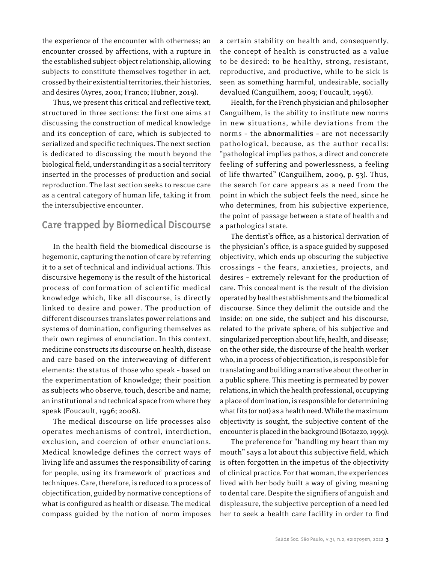the experience of the encounter with otherness; an encounter crossed by affections, with a rupture in the established subject-object relationship, allowing subjects to constitute themselves together in act, crossed by their existential territories, their histories, and desires (Ayres, 2001; Franco; Hubner, 2019).

Thus, we present this critical and reflective text, structured in three sections: the first one aims at discussing the construction of medical knowledge and its conception of care, which is subjected to serialized and specific techniques. The next section is dedicated to discussing the mouth beyond the biological field, understanding it as a social territory inserted in the processes of production and social reproduction. The last section seeks to rescue care as a central category of human life, taking it from the intersubjective encounter.

## **Care trapped by Biomedical Discourse**

In the health field the biomedical discourse is hegemonic, capturing the notion of care by referring it to a set of technical and individual actions. This discursive hegemony is the result of the historical process of conformation of scientific medical knowledge which, like all discourse, is directly linked to desire and power. The production of different discourses translates power relations and systems of domination, configuring themselves as their own regimes of enunciation. In this context, medicine constructs its discourse on health, disease and care based on the interweaving of different elements: the status of those who speak – based on the experimentation of knowledge; their position as subjects who observe, touch, describe and name; an institutional and technical space from where they speak (Foucault, 1996; 2008).

The medical discourse on life processes also operates mechanisms of control, interdiction, exclusion, and coercion of other enunciations. Medical knowledge defines the correct ways of living life and assumes the responsibility of caring for people, using its framework of practices and techniques. Care, therefore, is reduced to a process of objectification, guided by normative conceptions of what is configured as health or disease. The medical compass guided by the notion of norm imposes

a certain stability on health and, consequently, the concept of health is constructed as a value to be desired: to be healthy, strong, resistant, reproductive, and productive, while to be sick is seen as something harmful, undesirable, socially devalued (Canguilhem, 2009; Foucault, 1996).

Health, for the French physician and philosopher Canguilhem, is the ability to institute new norms in new situations, while deviations from the norms – the **abnormalities** – are not necessarily pathological, because, as the author recalls: "pathological implies pathos, a direct and concrete feeling of suffering and powerlessness, a feeling of life thwarted" (Canguilhem, 2009, p. 53). Thus, the search for care appears as a need from the point in which the subject feels the need, since he who determines, from his subjective experience, the point of passage between a state of health and a pathological state.

The dentist's office, as a historical derivation of the physician's office, is a space guided by supposed objectivity, which ends up obscuring the subjective crossings – the fears, anxieties, projects, and desires – extremely relevant for the production of care. This concealment is the result of the division operated by health establishments and the biomedical discourse. Since they delimit the outside and the inside: on one side, the subject and his discourse, related to the private sphere, of his subjective and singularized perception about life, health, and disease; on the other side, the discourse of the health worker who, in a process of objectification, is responsible for translating and building a narrative about the other in a public sphere. This meeting is permeated by power relations, in which the health professional, occupying a place of domination, is responsible for determining what fits (or not) as a health need. While the maximum objectivity is sought, the subjective content of the encounter is placed in the background (Botazzo, 1999).

The preference for "handling my heart than my mouth" says a lot about this subjective field, which is often forgotten in the impetus of the objectivity of clinical practice. For that woman, the experiences lived with her body built a way of giving meaning to dental care. Despite the signifiers of anguish and displeasure, the subjective perception of a need led her to seek a health care facility in order to find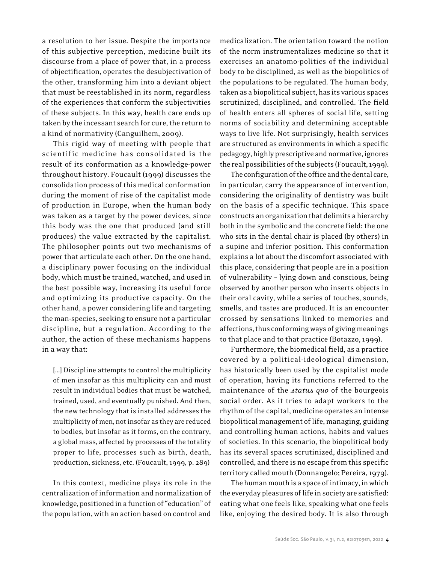a resolution to her issue. Despite the importance of this subjective perception, medicine built its discourse from a place of power that, in a process of objectification, operates the desubjectivation of the other, transforming him into a deviant object that must be reestablished in its norm, regardless of the experiences that conform the subjectivities of these subjects. In this way, health care ends up taken by the incessant search for cure, the return to a kind of normativity (Canguilhem, 2009).

This rigid way of meeting with people that scientific medicine has consolidated is the result of its conformation as a knowledge-power throughout history. Foucault (1999) discusses the consolidation process of this medical conformation during the moment of rise of the capitalist mode of production in Europe, when the human body was taken as a target by the power devices, since this body was the one that produced (and still produces) the value extracted by the capitalist. The philosopher points out two mechanisms of power that articulate each other. On the one hand, a disciplinary power focusing on the individual body, which must be trained, watched, and used in the best possible way, increasing its useful force and optimizing its productive capacity. On the other hand, a power considering life and targeting the man-species, seeking to ensure not a particular discipline, but a regulation. According to the author, the action of these mechanisms happens in a way that:

[…] Discipline attempts to control the multiplicity of men insofar as this multiplicity can and must result in individual bodies that must be watched, trained, used, and eventually punished. And then, the new technology that is installed addresses the multiplicity of men, not insofar as they are reduced to bodies, but insofar as it forms, on the contrary, a global mass, affected by processes of the totality proper to life, processes such as birth, death, production, sickness, etc. (Foucault, 1999, p. 289)

In this context, medicine plays its role in the centralization of information and normalization of knowledge, positioned in a function of "education" of the population, with an action based on control and

medicalization. The orientation toward the notion of the norm instrumentalizes medicine so that it exercises an anatomo-politics of the individual body to be disciplined, as well as the biopolitics of the populations to be regulated. The human body, taken as a biopolitical subject, has its various spaces scrutinized, disciplined, and controlled. The field of health enters all spheres of social life, setting norms of sociability and determining acceptable ways to live life. Not surprisingly, health services are structured as environments in which a specific pedagogy, highly prescriptive and normative, ignores the real possibilities of the subjects (Foucault, 1999).

The configuration of the office and the dental care, in particular, carry the appearance of intervention, considering the originality of dentistry was built on the basis of a specific technique. This space constructs an organization that delimits a hierarchy both in the symbolic and the concrete field: the one who sits in the dental chair is placed (by others) in a supine and inferior position. This conformation explains a lot about the discomfort associated with this place, considering that people are in a position of vulnerability – lying down and conscious, being observed by another person who inserts objects in their oral cavity, while a series of touches, sounds, smells, and tastes are produced. It is an encounter crossed by sensations linked to memories and affections, thus conforming ways of giving meanings to that place and to that practice (Botazzo, 1999).

Furthermore, the biomedical field, as a practice covered by a political-ideological dimension, has historically been used by the capitalist mode of operation, having its functions referred to the maintenance of the *status quo* of the bourgeois social order. As it tries to adapt workers to the rhythm of the capital, medicine operates an intense biopolitical management of life, managing, guiding and controlling human actions, habits and values of societies. In this scenario, the biopolitical body has its several spaces scrutinized, disciplined and controlled, and there is no escape from this specific territory called mouth (Donnangelo; Pereira, 1979).

The human mouth is a space of intimacy, in which the everyday pleasures of life in society are satisfied: eating what one feels like, speaking what one feels like, enjoying the desired body. It is also through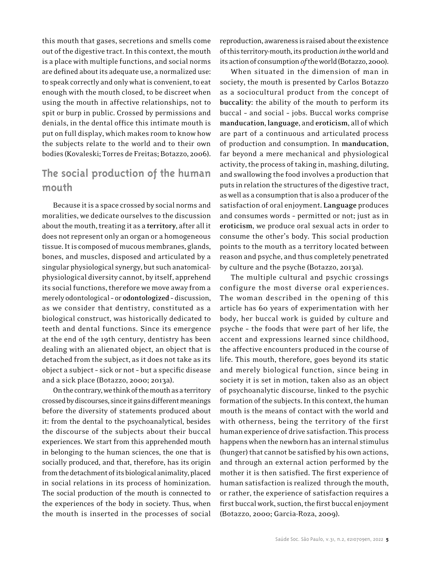this mouth that gases, secretions and smells come out of the digestive tract. In this context, the mouth is a place with multiple functions, and social norms are defined about its adequate use, a normalized use: to speak correctly and only what is convenient, to eat enough with the mouth closed, to be discreet when using the mouth in affective relationships, not to spit or burp in public. Crossed by permissions and denials, in the dental office this intimate mouth is put on full display, which makes room to know how the subjects relate to the world and to their own bodies (Kovaleski; Torres de Freitas; Botazzo, 2006).

## **The social production of the human mouth**

Because it is a space crossed by social norms and moralities, we dedicate ourselves to the discussion about the mouth, treating it as a **territory**, after all it does not represent only an organ or a homogeneous tissue. It is composed of mucous membranes, glands, bones, and muscles, disposed and articulated by a singular physiological synergy, but such anatomicalphysiological diversity cannot, by itself, apprehend its social functions, therefore we move away from a merely odontological – or **odontologized** – discussion, as we consider that dentistry, constituted as a biological construct, was historically dedicated to teeth and dental functions. Since its emergence at the end of the 19th century, dentistry has been dealing with an alienated object, an object that is detached from the subject, as it does not take as its object a subject – sick or not – but a specific disease and a sick place (Botazzo, 2000; 2013a).

On the contrary, we think of the mouth as a territory crossed by discourses, since it gains different meanings before the diversity of statements produced about it: from the dental to the psychoanalytical, besides the discourse of the subjects about their buccal experiences. We start from this apprehended mouth in belonging to the human sciences, the one that is socially produced, and that, therefore, has its origin from the detachment of its biological animality, placed in social relations in its process of hominization. The social production of the mouth is connected to the experiences of the body in society. Thus, when the mouth is inserted in the processes of social reproduction, awareness is raised about the existence of this territory-mouth, its production *in* the world and its action of consumption *of* the world (Botazzo, 2000).

When situated in the dimension of man in society, the mouth is presented by Carlos Botazzo as a sociocultural product from the concept of **buccality**: the ability of the mouth to perform its buccal – and social – jobs. Buccal works comprise **manducation**, **language**, and **eroticism**, all of which are part of a continuous and articulated process of production and consumption. In **manducation**, far beyond a mere mechanical and physiological activity, the process of taking in, mashing, diluting, and swallowing the food involves a production that puts in relation the structures of the digestive tract, as well as a consumption that is also a producer of the satisfaction of oral enjoyment. **Language** produces and consumes words – permitted or not; just as in **eroticism**, we produce oral sexual acts in order to consume the other's body. This social production points to the mouth as a territory located between reason and psyche, and thus completely penetrated by culture and the psyche (Botazzo, 2013a).

The multiple cultural and psychic crossings configure the most diverse oral experiences. The woman described in the opening of this article has 60 years of experimentation with her body, her buccal work is guided by culture and psyche – the foods that were part of her life, the accent and expressions learned since childhood, the affective encounters produced in the course of life. This mouth, therefore, goes beyond its static and merely biological function, since being in society it is set in motion, taken also as an object of psychoanalytic discourse, linked to the psychic formation of the subjects. In this context, the human mouth is the means of contact with the world and with otherness, being the territory of the first human experience of drive satisfaction. This process happens when the newborn has an internal stimulus (hunger) that cannot be satisfied by his own actions, and through an external action performed by the mother it is then satisfied. The first experience of human satisfaction is realized through the mouth, or rather, the experience of satisfaction requires a first buccal work, suction, the first buccal enjoyment (Botazzo, 2000; Garcia-Roza, 2009).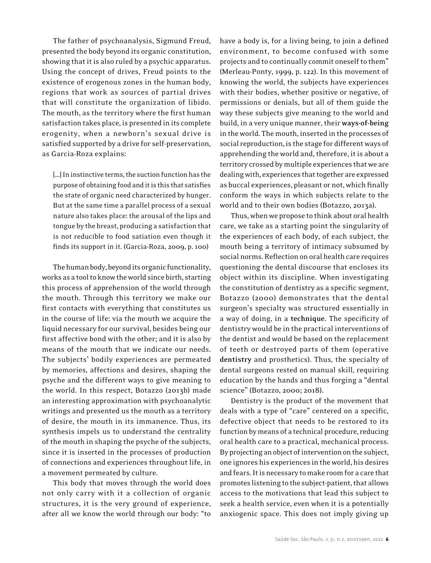The father of psychoanalysis, Sigmund Freud, presented the body beyond its organic constitution, showing that it is also ruled by a psychic apparatus. Using the concept of drives, Freud points to the existence of erogenous zones in the human body, regions that work as sources of partial drives that will constitute the organization of libido. The mouth, as the territory where the first human satisfaction takes place, is presented in its complete erogenity, when a newborn's sexual drive is satisfied supported by a drive for self-preservation, as Garcia-Roza explains:

[...] In instinctive terms, the suction function has the purpose of obtaining food and it is this that satisfies the state of organic need characterized by hunger. But at the same time a parallel process of a sexual nature also takes place: the arousal of the lips and tongue by the breast, producing a satisfaction that is not reducible to food satiation even though it finds its support in it. (Garcia-Roza, 2009, p. 100)

The human body, beyond its organic functionality, works as a tool to know the world since birth, starting this process of apprehension of the world through the mouth. Through this territory we make our first contacts with everything that constitutes us in the course of life: via the mouth we acquire the liquid necessary for our survival, besides being our first affective bond with the other; and it is also by means of the mouth that we indicate our needs. The subjects' bodily experiences are permeated by memories, affections and desires, shaping the psyche and the different ways to give meaning to the world. In this respect, Botazzo (2013b) made an interesting approximation with psychoanalytic writings and presented us the mouth as a territory of desire, the mouth in its immanence. Thus, its synthesis impels us to understand the centrality of the mouth in shaping the psyche of the subjects, since it is inserted in the processes of production of connections and experiences throughout life, in a movement permeated by culture.

This body that moves through the world does not only carry with it a collection of organic structures, it is the very ground of experience, after all we know the world through our body: "to

have a body is, for a living being, to join a defined environment, to become confused with some projects and to continually commit oneself to them" (Merleau-Ponty, 1999, p. 122). In this movement of knowing the world, the subjects have experiences with their bodies, whether positive or negative, of permissions or denials, but all of them guide the way these subjects give meaning to the world and build, in a very unique manner, their **ways-of-being** in the world. The mouth, inserted in the processes of social reproduction, is the stage for different ways of apprehending the world and, therefore, it is about a territory crossed by multiple experiences that we are dealing with, experiences that together are expressed as buccal experiences, pleasant or not, which finally conform the ways in which subjects relate to the world and to their own bodies (Botazzo, 2013a).

Thus, when we propose to think about oral health care, we take as a starting point the singularity of the experiences of each body, of each subject, the mouth being a territory of intimacy subsumed by social norms. Reflection on oral health care requires questioning the dental discourse that encloses its object within its discipline. When investigating the constitution of dentistry as a specific segment, Botazzo (2000) demonstrates that the dental surgeon's specialty was structured essentially in a way of doing, in a **technique**. The specificity of dentistry would be in the practical interventions of the dentist and would be based on the replacement of teeth or destroyed parts of them (operative **dentistry** and prosthetics). Thus, the specialty of dental surgeons rested on manual skill, requiring education by the hands and thus forging a "dental science" (Botazzo, 2000; 2018).

Dentistry is the product of the movement that deals with a type of "care" centered on a specific, defective object that needs to be restored to its function by means of a technical procedure, reducing oral health care to a practical, mechanical process. By projecting an object of intervention on the subject, one ignores his experiences in the world, his desires and fears. It is necessary to make room for a care that promotes listening to the subject-patient, that allows access to the motivations that lead this subject to seek a health service, even when it is a potentially anxiogenic space. This does not imply giving up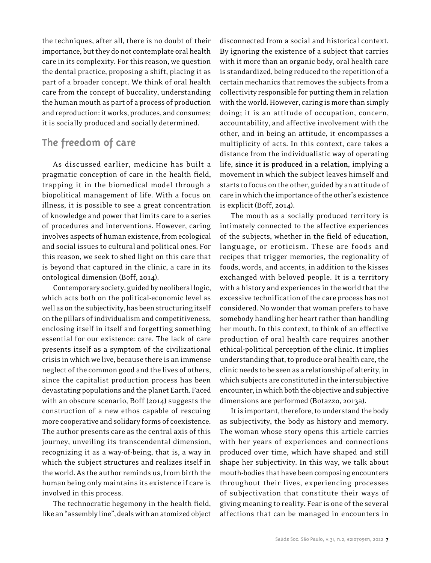the techniques, after all, there is no doubt of their importance, but they do not contemplate oral health care in its complexity. For this reason, we question the dental practice, proposing a shift, placing it as part of a broader concept. We think of oral health care from the concept of buccality, understanding the human mouth as part of a process of production and reproduction: it works, produces, and consumes; it is socially produced and socially determined.

# **The freedom of care**

As discussed earlier, medicine has built a pragmatic conception of care in the health field, trapping it in the biomedical model through a biopolitical management of life. With a focus on illness, it is possible to see a great concentration of knowledge and power that limits care to a series of procedures and interventions. However, caring involves aspects of human existence, from ecological and social issues to cultural and political ones. For this reason, we seek to shed light on this care that is beyond that captured in the clinic, a care in its ontological dimension (Boff, 2014).

Contemporary society, guided by neoliberal logic, which acts both on the political-economic level as well as on the subjectivity, has been structuring itself on the pillars of individualism and competitiveness, enclosing itself in itself and forgetting something essential for our existence: care. The lack of care presents itself as a symptom of the civilizational crisis in which we live, because there is an immense neglect of the common good and the lives of others, since the capitalist production process has been devastating populations and the planet Earth. Faced with an obscure scenario, Boff (2014) suggests the construction of a new ethos capable of rescuing more cooperative and solidary forms of coexistence. The author presents care as the central axis of this journey, unveiling its transcendental dimension, recognizing it as a way-of-being, that is, a way in which the subject structures and realizes itself in the world. As the author reminds us, from birth the human being only maintains its existence if care is involved in this process.

The technocratic hegemony in the health field, like an "assembly line", deals with an atomized object

disconnected from a social and historical context. By ignoring the existence of a subject that carries with it more than an organic body, oral health care is standardized, being reduced to the repetition of a certain mechanics that removes the subjects from a collectivity responsible for putting them in relation with the world. However, caring is more than simply doing; it is an attitude of occupation, concern, accountability, and affective involvement with the other, and in being an attitude, it encompasses a multiplicity of acts. In this context, care takes a distance from the individualistic way of operating life, **since it is produced in a relation**, implying a movement in which the subject leaves himself and starts to focus on the other, guided by an attitude of care in which the importance of the other's existence is explicit (Boff, 2014).

The mouth as a socially produced territory is intimately connected to the affective experiences of the subjects, whether in the field of education, language, or eroticism. These are foods and recipes that trigger memories, the regionality of foods, words, and accents, in addition to the kisses exchanged with beloved people. It is a territory with a history and experiences in the world that the excessive technification of the care process has not considered. No wonder that woman prefers to have somebody handling her heart rather than handling her mouth. In this context, to think of an effective production of oral health care requires another ethical-political perception of the clinic. It implies understanding that, to produce oral health care, the clinic needs to be seen as a relationship of alterity, in which subjects are constituted in the intersubjective encounter, in which both the objective and subjective dimensions are performed (Botazzo, 2013a).

It is important, therefore, to understand the body as subjectivity, the body as history and memory. The woman whose story opens this article carries with her years of experiences and connections produced over time, which have shaped and still shape her subjectivity. In this way, we talk about mouth-bodies that have been composing encounters throughout their lives, experiencing processes of subjectivation that constitute their ways of giving meaning to reality. Fear is one of the several affections that can be managed in encounters in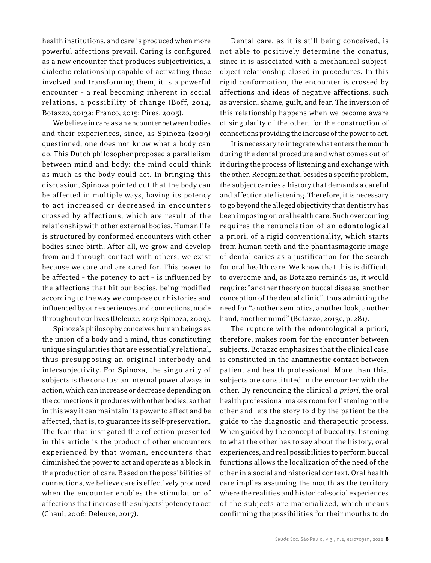health institutions, and care is produced when more powerful affections prevail. Caring is configured as a new encounter that produces subjectivities, a dialectic relationship capable of activating those involved and transforming them, it is a powerful encounter – a real becoming inherent in social relations, a possibility of change (Boff, 2014; Botazzo, 2013a; Franco, 2015; Pires, 2005).

We believe in care as an encounter between bodies and their experiences, since, as Spinoza (2009) questioned, one does not know what a body can do. This Dutch philosopher proposed a parallelism between mind and body: the mind could think as much as the body could act. In bringing this discussion, Spinoza pointed out that the body can be affected in multiple ways, having its potency to act increased or decreased in encounters crossed by **affections**, which are result of the relationship with other external bodies. Human life is structured by conformed encounters with other bodies since birth. After all, we grow and develop from and through contact with others, we exist because we care and are cared for. This power to be affected – the potency to act – is influenced by the **affections** that hit our bodies, being modified according to the way we compose our histories and influenced by our experiences and connections, made throughout our lives (Deleuze, 2017; Spinoza, 2009).

Spinoza's philosophy conceives human beings as the union of a body and a mind, thus constituting unique singularities that are essentially relational, thus presupposing an original interbody and intersubjectivity. For Spinoza, the singularity of subjects is the conatus: an internal power always in action, which can increase or decrease depending on the connections it produces with other bodies, so that in this way it can maintain its power to affect and be affected, that is, to guarantee its self-preservation. The fear that instigated the reflection presented in this article is the product of other encounters experienced by that woman, encounters that diminished the power to act and operate as a block in the production of care. Based on the possibilities of connections, we believe care is effectively produced when the encounter enables the stimulation of affections that increase the subjects' potency to act (Chaui, 2006; Deleuze, 2017).

Dental care, as it is still being conceived, is not able to positively determine the conatus, since it is associated with a mechanical subjectobject relationship closed in procedures. In this rigid conformation, the encounter is crossed by **affections** and ideas of negative **affections**, such as aversion, shame, guilt, and fear. The inversion of this relationship happens when we become aware of singularity of the other, for the construction of connections providing the increase of the power to act.

It is necessary to integrate what enters the mouth during the dental procedure and what comes out of it during the process of listening and exchange with the other. Recognize that, besides a specific problem, the subject carries a history that demands a careful and affectionate listening. Therefore, it is necessary to go beyond the alleged objectivity that dentistry has been imposing on oral health care. Such overcoming requires the renunciation of an **odontological** a priori, of a rigid conventionality, which starts from human teeth and the phantasmagoric image of dental caries as a justification for the search for oral health care. We know that this is difficult to overcome and, as Botazzo reminds us, it would require: "another theory on buccal disease, another conception of the dental clinic", thus admitting the need for "another semiotics, another look, another hand, another mind" (Botazzo, 2013c, p. 281).

The rupture with the **odontological** a priori, therefore, makes room for the encounter between subjects. Botazzo emphasizes that the clinical case is constituted in the **anamnestic contact** between patient and health professional. More than this, subjects are constituted in the encounter with the other. By renouncing the clinical *a priori*, the oral health professional makes room for listening to the other and lets the story told by the patient be the guide to the diagnostic and therapeutic process. When guided by the concept of buccality, listening to what the other has to say about the history, oral experiences, and real possibilities to perform buccal functions allows the localization of the need of the other in a social and historical context. Oral health care implies assuming the mouth as the territory where the realities and historical-social experiences of the subjects are materialized, which means confirming the possibilities for their mouths to do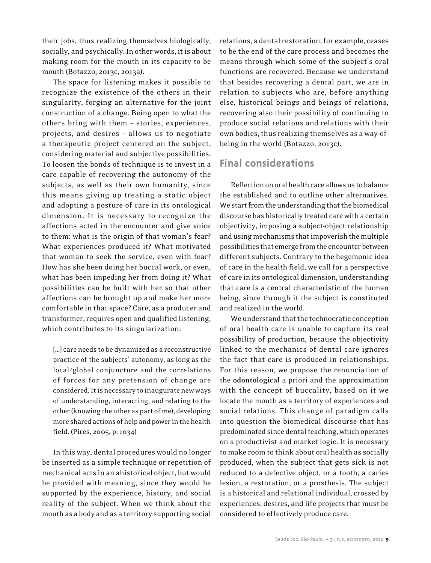their jobs, thus realizing themselves biologically, socially, and psychically. In other words, it is about making room for the mouth in its capacity to be mouth (Botazzo, 2013c, 2013a).

The space for listening makes it possible to recognize the existence of the others in their singularity, forging an alternative for the joint construction of a change. Being open to what the others bring with them – stories, experiences, projects, and desires – allows us to negotiate a therapeutic project centered on the subject, considering material and subjective possibilities. To loosen the bonds of technique is to invest in a care capable of recovering the autonomy of the subjects, as well as their own humanity, since this means giving up treating a static object and adopting a posture of care in its ontological dimension. It is necessary to recognize the affections acted in the encounter and give voice to them: what is the origin of that woman's fear? What experiences produced it? What motivated that woman to seek the service, even with fear? How has she been doing her buccal work, or even, what has been impeding her from doing it? What possibilities can be built with her so that other affections can be brought up and make her more comfortable in that space? Care, as a producer and transformer, requires open and qualified listening, which contributes to its singularization:

[…] care needs to be dynamized as a reconstructive practice of the subjects' autonomy, as long as the local/global conjuncture and the correlations of forces for any pretension of change are considered. It is necessary to inaugurate new ways of understanding, interacting, and relating to the other (knowing the other as part of me), developing more shared actions of help and power in the health field. (Pires, 2005, p. 1034)

In this way, dental procedures would no longer be inserted as a simple technique or repetition of mechanical acts in an ahistorical object, but would be provided with meaning, since they would be supported by the experience, history, and social reality of the subject. When we think about the mouth as a body and as a territory supporting social

relations, a dental restoration, for example, ceases to be the end of the care process and becomes the means through which some of the subject's oral functions are recovered. Because we understand that besides recovering a dental part, we are in relation to subjects who are, before anything else, historical beings and beings of relations, recovering also their possibility of continuing to produce social relations and relations with their own bodies, thus realizing themselves as a way-ofbeing in the world (Botazzo, 2013c).

## **Final considerations**

Reflection on oral health care allows us to balance the established and to outline other alternatives. We start from the understanding that the biomedical discourse has historically treated care with a certain objectivity, imposing a subject-object relationship and using mechanisms that impoverish the multiple possibilities that emerge from the encounter between different subjects. Contrary to the hegemonic idea of care in the health field, we call for a perspective of care in its ontological dimension, understanding that care is a central characteristic of the human being, since through it the subject is constituted and realized in the world.

We understand that the technocratic conception of oral health care is unable to capture its real possibility of production, because the objectivity linked to the mechanics of dental care ignores the fact that care is produced in relationships. For this reason, we propose the renunciation of the **odontological** a priori and the approximation with the concept of buccality, based on it we locate the mouth as a territory of experiences and social relations. This change of paradigm calls into question the biomedical discourse that has predominated since dental teaching, which operates on a productivist and market logic. It is necessary to make room to think about oral health as socially produced, when the subject that gets sick is not reduced to a defective object, or a tooth, a caries lesion, a restoration, or a prosthesis. The subject is a historical and relational individual, crossed by experiences, desires, and life projects that must be considered to effectively produce care.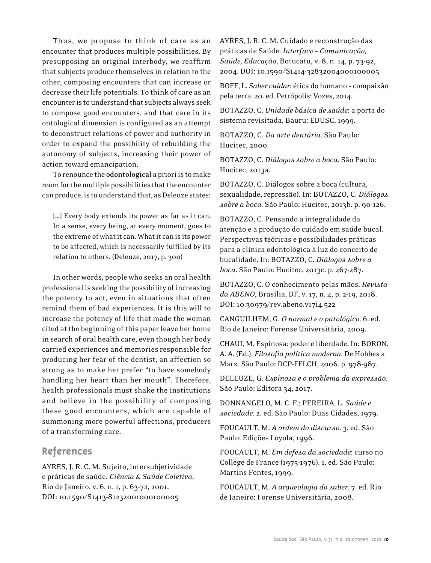Thus, we propose to think of care as an encounter that produces multiple possibilities. By presupposing an original interbody, we reaffirm that subjects produce themselves in relation to the other, composing encounters that can increase or decrease their life potentials. To think of care as an encounter is to understand that subjects always seek to compose good encounters, and that care in its ontological dimension is configured as an attempt to deconstruct relations of power and authority in order to expand the possibility of rebuilding the autonomy of subjects, increasing their power of action toward emancipation.

To renounce the **odontological** a priori is to make room for the multiple possibilities that the encounter can produce, is to understand that, as Deleuze states:

[...] Every body extends its power as far as it can. In a sense, every being, at every moment, goes to the extreme of what it can. What it can is its power to be affected, which is necessarily fulfilled by its relation to others. (Deleuze, 2017, p. 300)

In other words, people who seeks an oral health professional is seeking the possibility of increasing the potency to act, even in situations that often remind them of bad experiences. It is this will to increase the potency of life that made the woman cited at the beginning of this paper leave her home in search of oral health care, even though her body carried experiences and memories responsible for producing her fear of the dentist, an affection so strong as to make her prefer "to have somebody handling her heart than her mouth". Therefore, health professionals must shake the institutions and believe in the possibility of composing these good encounters, which are capable of summoning more powerful affections, producers of a transforming care.

## **References**

AYRES, J. R. C. M. Sujeito, intersubjetividade e práticas de saúde. *Ciência & Saúde Coletiva*, Rio de Janeiro, v. 6, n. 1, p. 63-72, 2001. DOI: 10.1590/S1413-81232001000100005

AYRES, J. R. C. M. Cuidado e reconstrução das práticas de Saúde. *Interface – Comunicação, Saúde, Educação*, Botucatu, v. 8, n. 14, p. 73-92, 2004. DOI: 10.1590/S1414-32832004000100005

BOFF, L. *Saber cuidar*: ética do humano – compaixão pela terra. 20. ed. Petrópolis: Vozes, 2014.

BOTAZZO, C. *Unidade básica de saúde*: a porta do sistema revisitada. Bauru: EDUSC, 1999.

BOTAZZO, C. *Da arte dentária*. São Paulo: Hucitec, 2000.

BOTAZZO, C. *Diálogos sobre a boca*. São Paulo: Hucitec, 2013a.

BOTAZZO, C. Diálogos sobre a boca (cultura, sexualidade, repressão). In: BOTAZZO, C. *Diálogos sobre a boca*. São Paulo: Hucitec, 2013b. p. 90-126.

BOTAZZO, C. Pensando a integralidade da atenção e a produção do cuidado em saúde bucal. Perspectivas teóricas e possibilidades práticas para a clínica odontológica à luz do conceito de bucalidade. In: BOTAZZO, C. *Diálogos sobre a boca*. São Paulo: Hucitec, 2013c. p. 267-287.

BOTAZZO, C. O conhecimento pelas mãos. *Revista da ABENO*, Brasília, DF, v. 17, n. 4, p. 2-19, 2018. DOI: 10.30979/rev.abeno.v17i4.522

CANGUILHEM, G. *O normal e o patológico*. 6. ed. Rio de Janeiro: Forense Universitária, 2009.

CHAUI, M. Espinosa: poder e liberdade. In: BORON, A. A. (Ed.). *Filosofia política moderna*. De Hobbes a Marx. São Paulo: DCP-FFLCH, 2006. p. 978-987.

DELEUZE, G. *Espinosa e o problema da expressão*. São Paulo: Editora 34, 2017.

DONNANGELO, M. C. F.; PEREIRA, L. *Saúde e sociedade*. 2. ed. São Paulo: Duas Cidades, 1979.

FOUCAULT, M. *A ordem do discurso*. 3. ed. São Paulo: Edições Loyola, 1996.

FOUCAULT, M. *Em defesa da sociedade*: curso no Collège de France (1975-1976). 1. ed. São Paulo: Martins Fontes, 1999.

FOUCAULT, M. *A arqueologia do saber*. 7. ed. Rio de Janeiro: Forense Universitária, 2008.